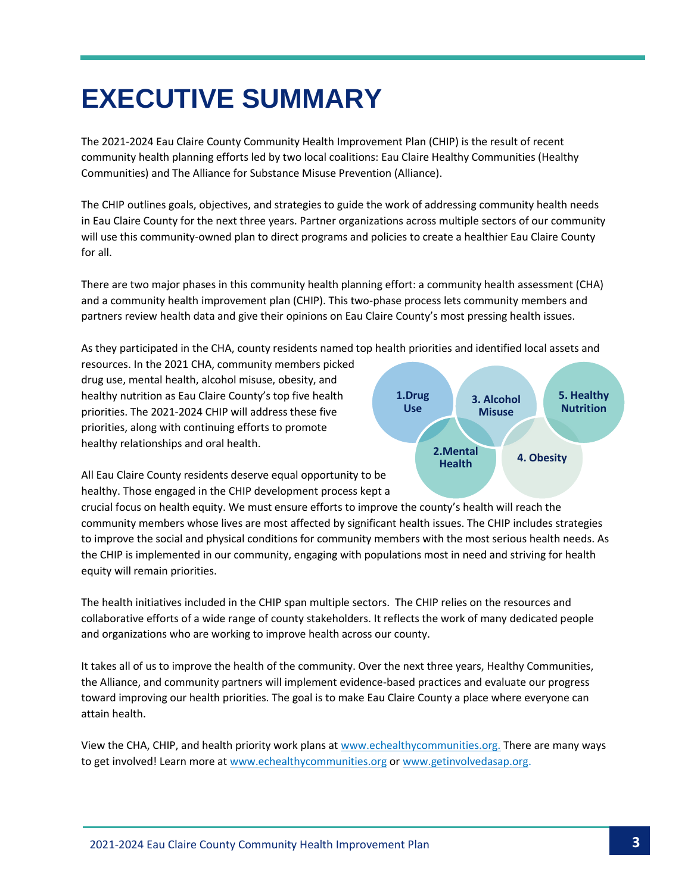## **EXECUTIVE SUMMARY**

The 2021-2024 Eau Claire County Community Health Improvement Plan (CHIP) is the result of recent community health planning efforts led by two local coalitions: Eau Claire Healthy Communities (Healthy Communities) and The Alliance for Substance Misuse Prevention (Alliance).

The CHIP outlines goals, objectives, and strategies to guide the work of addressing community health needs in Eau Claire County for the next three years. Partner organizations across multiple sectors of our community will use this community-owned plan to direct programs and policies to create a healthier Eau Claire County for all.

There are two major phases in this community health planning effort: a community health assessment (CHA) and a community health improvement plan (CHIP). This two-phase process lets community members and partners review health data and give their opinions on Eau Claire County's most pressing health issues.

As they participated in the CHA, county residents named top health priorities and identified local assets and

resources. In the 2021 CHA, community members picked drug use, mental health, alcohol misuse, obesity, and healthy nutrition as Eau Claire County's top five health priorities. The 2021-2024 CHIP will address these five priorities, along with continuing efforts to promote healthy relationships and oral health.



All Eau Claire County residents deserve equal opportunity to be healthy. Those engaged in the CHIP development process kept a

crucial focus on health equity. We must ensure efforts to improve the county's health will reach the community members whose lives are most affected by significant health issues. The CHIP includes strategies to improve the social and physical conditions for community members with the most serious health needs. As the CHIP is implemented in our community, engaging with populations most in need and striving for health equity will remain priorities.

The health initiatives included in the CHIP span multiple sectors. The CHIP relies on the resources and collaborative efforts of a wide range of county stakeholders. It reflects the work of many dedicated people and organizations who are working to improve health across our county.

It takes all of us to improve the health of the community. Over the next three years, Healthy Communities, the Alliance, and community partners will implement evidence-based practices and evaluate our progress toward improving our health priorities. The goal is to make Eau Claire County a place where everyone can attain health.

View the CHA, CHIP, and health priority work plans at [www.echealthycommunities.org.](file:///C:/Users/hknutson/AppData/Local/Microsoft/Windows/INetCache/Content.Outlook/708GT2SA/www.echealthycommunities.org) There are many ways to get involved! Learn more at [www.echealthycommunities.org](http://www.echealthycommunities.org/) o[r www.getinvolvedasap.org.](https://www.eauclairewi.gov/government/our-divisions/health-department/there-s-more/alliance-for-substance-abuse-prevention)